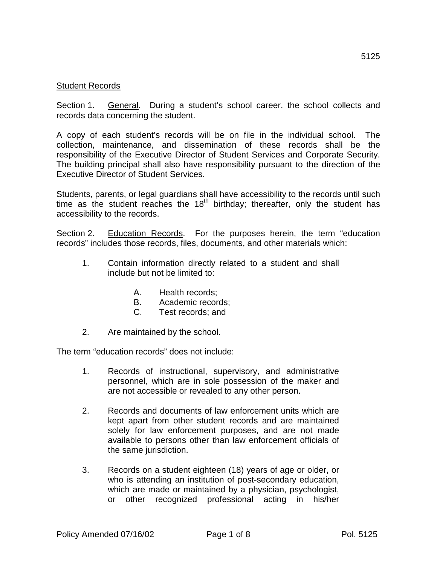## Student Records

Section 1. General. During a student's school career, the school collects and records data concerning the student.

A copy of each student's records will be on file in the individual school. The collection, maintenance, and dissemination of these records shall be the responsibility of the Executive Director of Student Services and Corporate Security. The building principal shall also have responsibility pursuant to the direction of the Executive Director of Student Services.

Students, parents, or legal guardians shall have accessibility to the records until such time as the student reaches the  $18<sup>th</sup>$  birthday; thereafter, only the student has accessibility to the records.

Section 2. Education Records. For the purposes herein, the term "education records" includes those records, files, documents, and other materials which:

- 1. Contain information directly related to a student and shall include but not be limited to:
	- A. Health records;
	- B. Academic records;
	- C. Test records; and
- 2. Are maintained by the school.

The term "education records" does not include:

- 1. Records of instructional, supervisory, and administrative personnel, which are in sole possession of the maker and are not accessible or revealed to any other person.
- 2. Records and documents of law enforcement units which are kept apart from other student records and are maintained solely for law enforcement purposes, and are not made available to persons other than law enforcement officials of the same jurisdiction.
- 3. Records on a student eighteen (18) years of age or older, or who is attending an institution of post-secondary education, which are made or maintained by a physician, psychologist, or other recognized professional acting in his/her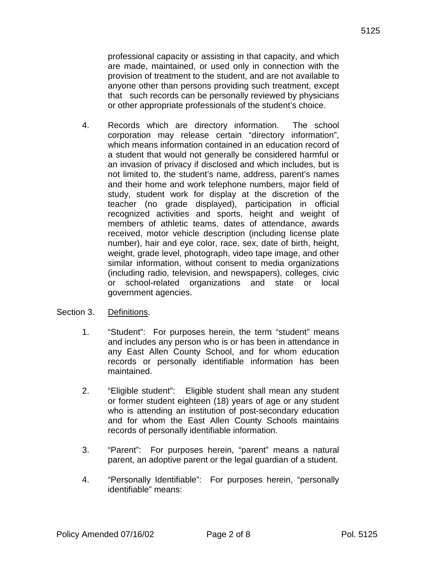professional capacity or assisting in that capacity, and which are made, maintained, or used only in connection with the provision of treatment to the student, and are not available to anyone other than persons providing such treatment, except that such records can be personally reviewed by physicians or other appropriate professionals of the student's choice.

- 4. Records which are directory information. The school corporation may release certain "directory information", which means information contained in an education record of a student that would not generally be considered harmful or an invasion of privacy if disclosed and which includes, but is not limited to, the student's name, address, parent's names and their home and work telephone numbers, major field of study, student work for display at the discretion of the teacher (no grade displayed), participation in official recognized activities and sports, height and weight of members of athletic teams, dates of attendance, awards received, motor vehicle description (including license plate number), hair and eye color, race, sex, date of birth, height, weight, grade level, photograph, video tape image, and other similar information, without consent to media organizations (including radio, television, and newspapers), colleges, civic or school-related organizations and state or local government agencies.
- Section 3. Definitions.
	- 1. "Student": For purposes herein, the term "student" means and includes any person who is or has been in attendance in any East Allen County School, and for whom education records or personally identifiable information has been maintained.
	- 2. "Eligible student": Eligible student shall mean any student or former student eighteen (18) years of age or any student who is attending an institution of post-secondary education and for whom the East Allen County Schools maintains records of personally identifiable information.
	- 3. "Parent": For purposes herein, "parent" means a natural parent, an adoptive parent or the legal guardian of a student.
	- 4. "Personally Identifiable": For purposes herein, "personally identifiable" means: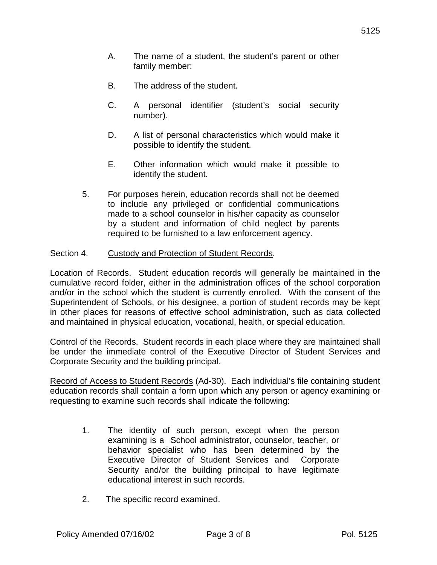- A. The name of a student, the student's parent or other family member:
- B. The address of the student.
- C. A personal identifier (student's social security number).
- D. A list of personal characteristics which would make it possible to identify the student.
- E. Other information which would make it possible to identify the student.
- 5. For purposes herein, education records shall not be deemed to include any privileged or confidential communications made to a school counselor in his/her capacity as counselor by a student and information of child neglect by parents required to be furnished to a law enforcement agency.

## Section 4. Custody and Protection of Student Records.

Location of Records. Student education records will generally be maintained in the cumulative record folder, either in the administration offices of the school corporation and/or in the school which the student is currently enrolled. With the consent of the Superintendent of Schools, or his designee, a portion of student records may be kept in other places for reasons of effective school administration, such as data collected and maintained in physical education, vocational, health, or special education.

Control of the Records. Student records in each place where they are maintained shall be under the immediate control of the Executive Director of Student Services and Corporate Security and the building principal.

Record of Access to Student Records (Ad-30). Each individual's file containing student education records shall contain a form upon which any person or agency examining or requesting to examine such records shall indicate the following:

- 1. The identity of such person, except when the person examining is a School administrator, counselor, teacher, or behavior specialist who has been determined by the Executive Director of Student Services and Corporate Security and/or the building principal to have legitimate educational interest in such records.
- 2. The specific record examined.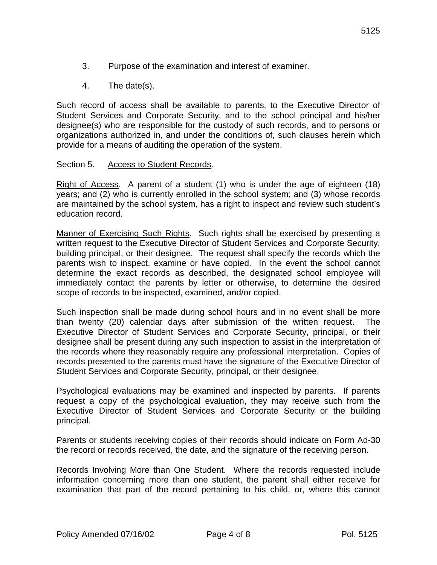- 3. Purpose of the examination and interest of examiner.
- 4. The date(s).

Such record of access shall be available to parents, to the Executive Director of Student Services and Corporate Security, and to the school principal and his/her designee(s) who are responsible for the custody of such records, and to persons or organizations authorized in, and under the conditions of, such clauses herein which provide for a means of auditing the operation of the system.

## Section 5. Access to Student Records.

Right of Access. A parent of a student (1) who is under the age of eighteen (18) years; and (2) who is currently enrolled in the school system; and (3) whose records are maintained by the school system, has a right to inspect and review such student's education record.

Manner of Exercising Such Rights. Such rights shall be exercised by presenting a written request to the Executive Director of Student Services and Corporate Security, building principal, or their designee. The request shall specify the records which the parents wish to inspect, examine or have copied. In the event the school cannot determine the exact records as described, the designated school employee will immediately contact the parents by letter or otherwise, to determine the desired scope of records to be inspected, examined, and/or copied.

Such inspection shall be made during school hours and in no event shall be more than twenty (20) calendar days after submission of the written request. The Executive Director of Student Services and Corporate Security, principal, or their designee shall be present during any such inspection to assist in the interpretation of the records where they reasonably require any professional interpretation. Copies of records presented to the parents must have the signature of the Executive Director of Student Services and Corporate Security, principal, or their designee.

Psychological evaluations may be examined and inspected by parents. If parents request a copy of the psychological evaluation, they may receive such from the Executive Director of Student Services and Corporate Security or the building principal.

Parents or students receiving copies of their records should indicate on Form Ad-30 the record or records received, the date, and the signature of the receiving person.

Records Involving More than One Student. Where the records requested include information concerning more than one student, the parent shall either receive for examination that part of the record pertaining to his child, or, where this cannot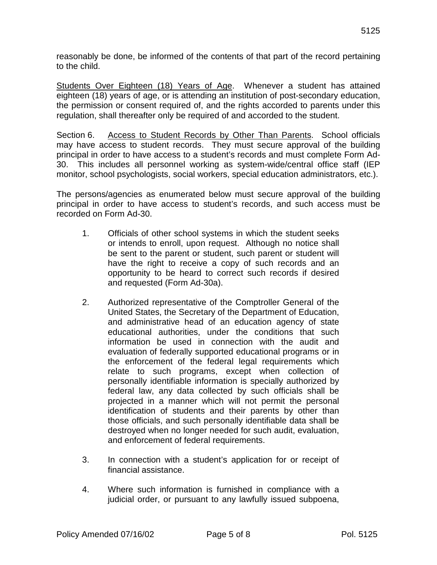reasonably be done, be informed of the contents of that part of the record pertaining to the child.

Students Over Eighteen (18) Years of Age. Whenever a student has attained eighteen (18) years of age, or is attending an institution of post-secondary education, the permission or consent required of, and the rights accorded to parents under this regulation, shall thereafter only be required of and accorded to the student.

Section 6. Access to Student Records by Other Than Parents. School officials may have access to student records. They must secure approval of the building principal in order to have access to a student's records and must complete Form Ad-30. This includes all personnel working as system-wide/central office staff (IEP monitor, school psychologists, social workers, special education administrators, etc.).

The persons/agencies as enumerated below must secure approval of the building principal in order to have access to student's records, and such access must be recorded on Form Ad-30.

- 1. Officials of other school systems in which the student seeks or intends to enroll, upon request. Although no notice shall be sent to the parent or student, such parent or student will have the right to receive a copy of such records and an opportunity to be heard to correct such records if desired and requested (Form Ad-30a).
- 2. Authorized representative of the Comptroller General of the United States, the Secretary of the Department of Education, and administrative head of an education agency of state educational authorities, under the conditions that such information be used in connection with the audit and evaluation of federally supported educational programs or in the enforcement of the federal legal requirements which relate to such programs, except when collection of personally identifiable information is specially authorized by federal law, any data collected by such officials shall be projected in a manner which will not permit the personal identification of students and their parents by other than those officials, and such personally identifiable data shall be destroyed when no longer needed for such audit, evaluation, and enforcement of federal requirements.
- 3. In connection with a student's application for or receipt of financial assistance.
- 4. Where such information is furnished in compliance with a judicial order, or pursuant to any lawfully issued subpoena,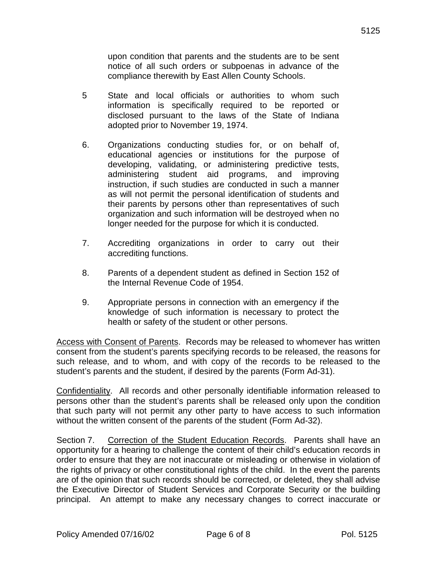upon condition that parents and the students are to be sent notice of all such orders or subpoenas in advance of the compliance therewith by East Allen County Schools.

- 5 State and local officials or authorities to whom such information is specifically required to be reported or disclosed pursuant to the laws of the State of Indiana adopted prior to November 19, 1974.
- 6. Organizations conducting studies for, or on behalf of, educational agencies or institutions for the purpose of developing, validating, or administering predictive tests, administering student aid programs, and improving instruction, if such studies are conducted in such a manner as will not permit the personal identification of students and their parents by persons other than representatives of such organization and such information will be destroyed when no longer needed for the purpose for which it is conducted.
- 7. Accrediting organizations in order to carry out their accrediting functions.
- 8. Parents of a dependent student as defined in Section 152 of the Internal Revenue Code of 1954.
- 9. Appropriate persons in connection with an emergency if the knowledge of such information is necessary to protect the health or safety of the student or other persons.

Access with Consent of Parents. Records may be released to whomever has written consent from the student's parents specifying records to be released, the reasons for such release, and to whom, and with copy of the records to be released to the student's parents and the student, if desired by the parents (Form Ad-31).

Confidentiality. All records and other personally identifiable information released to persons other than the student's parents shall be released only upon the condition that such party will not permit any other party to have access to such information without the written consent of the parents of the student (Form Ad-32).

Section 7. Correction of the Student Education Records. Parents shall have an opportunity for a hearing to challenge the content of their child's education records in order to ensure that they are not inaccurate or misleading or otherwise in violation of the rights of privacy or other constitutional rights of the child. In the event the parents are of the opinion that such records should be corrected, or deleted, they shall advise the Executive Director of Student Services and Corporate Security or the building principal. An attempt to make any necessary changes to correct inaccurate or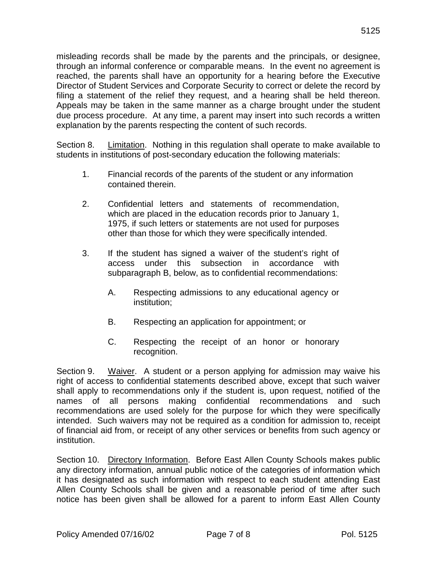Director of Student Services and Corporate Security to correct or delete the record by filing a statement of the relief they request, and a hearing shall be held thereon. Appeals may be taken in the same manner as a charge brought under the student due process procedure. At any time, a parent may insert into such records a written explanation by the parents respecting the content of such records.

Section 8. Limitation. Nothing in this regulation shall operate to make available to students in institutions of post-secondary education the following materials:

- 1. Financial records of the parents of the student or any information contained therein.
- 2. Confidential letters and statements of recommendation, which are placed in the education records prior to January 1, 1975, if such letters or statements are not used for purposes other than those for which they were specifically intended.
- 3. If the student has signed a waiver of the student's right of access under this subsection in accordance with subparagraph B, below, as to confidential recommendations:
	- A. Respecting admissions to any educational agency or institution;
	- B. Respecting an application for appointment; or
	- C. Respecting the receipt of an honor or honorary recognition.

Section 9. Waiver. A student or a person applying for admission may waive his right of access to confidential statements described above, except that such waiver shall apply to recommendations only if the student is, upon request, notified of the names of all persons making confidential recommendations and such recommendations are used solely for the purpose for which they were specifically intended. Such waivers may not be required as a condition for admission to, receipt of financial aid from, or receipt of any other services or benefits from such agency or institution.

Section 10. Directory Information. Before East Allen County Schools makes public any directory information, annual public notice of the categories of information which it has designated as such information with respect to each student attending East Allen County Schools shall be given and a reasonable period of time after such notice has been given shall be allowed for a parent to inform East Allen County